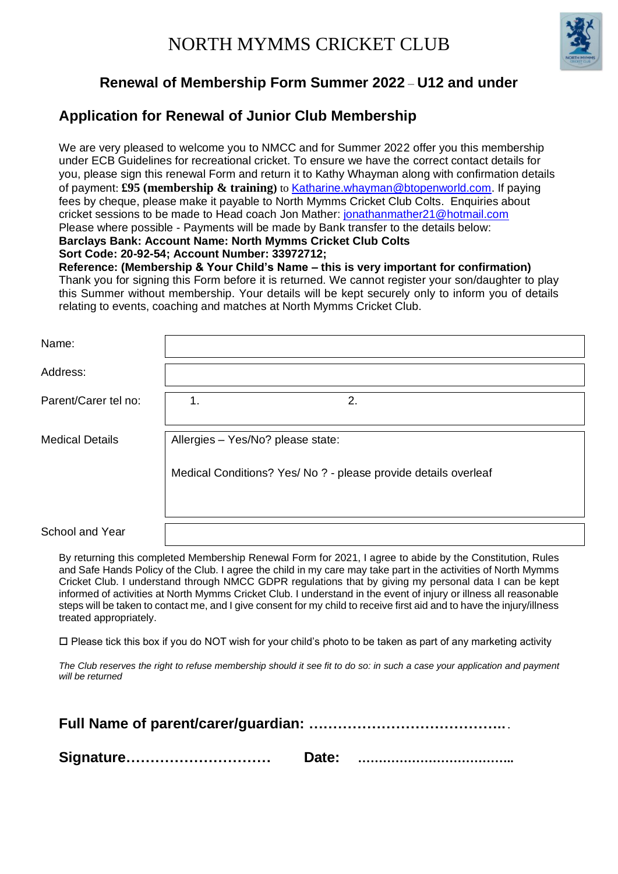

## **Renewal of Membership Form Summer 2022** – **U12 and under**

## **Application for Renewal of Junior Club Membership**

We are very pleased to welcome you to NMCC and for Summer 2022 offer you this membership under ECB Guidelines for recreational cricket. To ensure we have the correct contact details for you, please sign this renewal Form and return it to Kathy Whayman along with confirmation details of payment: **£95 (membership & training)** to [Katharine.whayman@btopenworld.com.](mailto:Katharine.whayman@btopenworld.com) If paying fees by cheque, please make it payable to North Mymms Cricket Club Colts. Enquiries about cricket sessions to be made to Head coach Jon Mather[: jonathanmather21@hotmail.com](mailto:jonathanmather21@hotmail.com) Please where possible - Payments will be made by Bank transfer to the details below: **Barclays Bank: Account Name: North Mymms Cricket Club Colts Sort Code: 20-92-54; Account Number: 33972712;** 

**Reference: (Membership & Your Child's Name – this is very important for confirmation)** Thank you for signing this Form before it is returned. We cannot register your son/daughter to play this Summer without membership. Your details will be kept securely only to inform you of details relating to events, coaching and matches at North Mymms Cricket Club.

| Name:                  |                                                                 |    |  |  |  |
|------------------------|-----------------------------------------------------------------|----|--|--|--|
| Address:               |                                                                 |    |  |  |  |
| Parent/Carer tel no:   | 1.                                                              | 2. |  |  |  |
| <b>Medical Details</b> | Allergies - Yes/No? please state:                               |    |  |  |  |
|                        | Medical Conditions? Yes/ No ? - please provide details overleaf |    |  |  |  |
| School and Year        |                                                                 |    |  |  |  |

By returning this completed Membership Renewal Form for 2021, I agree to abide by the Constitution, Rules and Safe Hands Policy of the Club. I agree the child in my care may take part in the activities of North Mymms Cricket Club. I understand through NMCC GDPR regulations that by giving my personal data I can be kept informed of activities at North Mymms Cricket Club. I understand in the event of injury or illness all reasonable steps will be taken to contact me, and I give consent for my child to receive first aid and to have the injury/illness treated appropriately.

 $\Box$  Please tick this box if you do NOT wish for your child's photo to be taken as part of any marketing activity

*The Club reserves the right to refuse membership should it see fit to do so: in such a case your application and payment will be returned* 

| Signature |  |  |  |  |
|-----------|--|--|--|--|